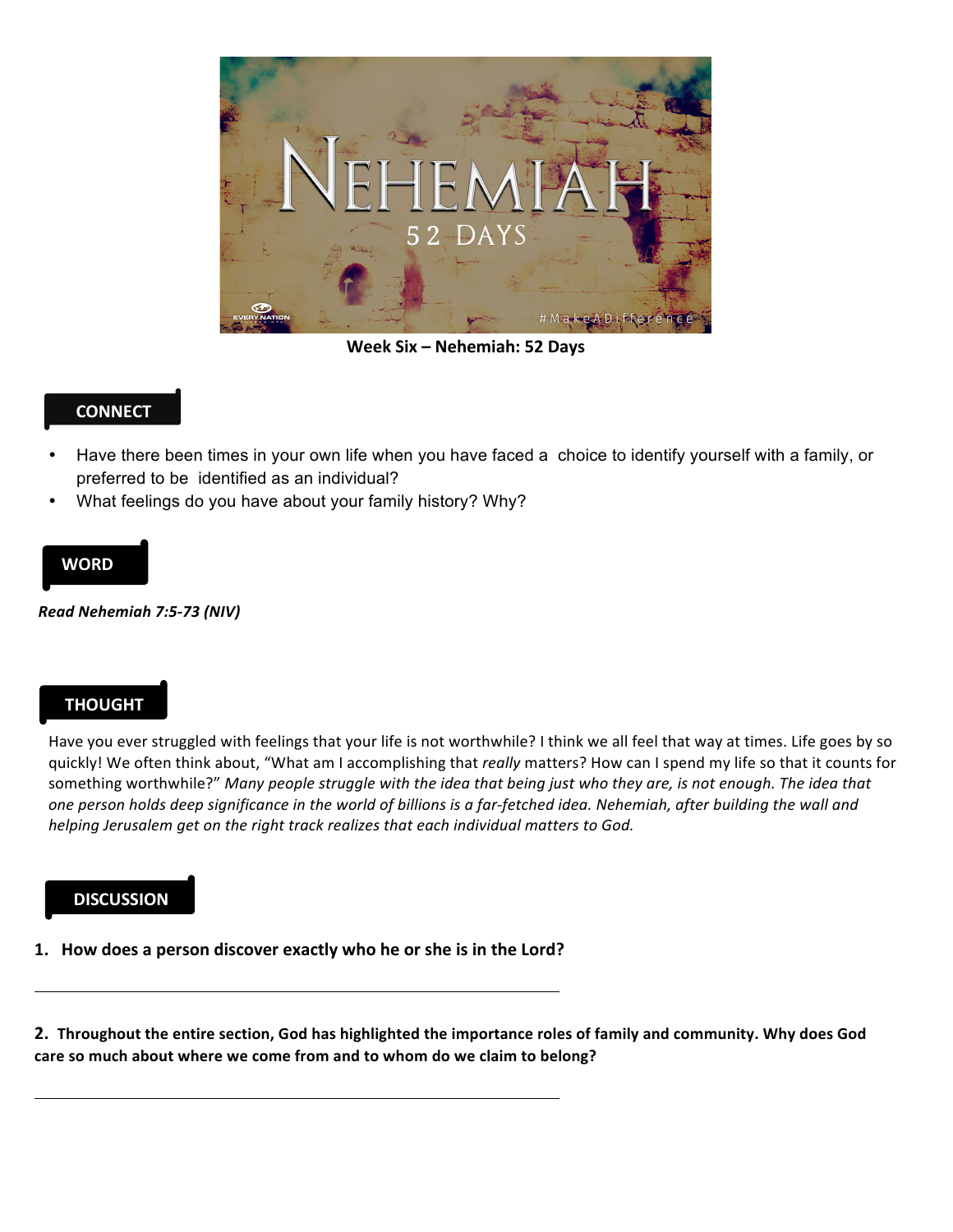

**Week Six – Nehemiah: 52 Days**

### **CONNECT**

- Have there been times in your own life when you have faced a choice to identify yourself with a family, or preferred to be identified as an individual?
- What feelings do you have about your family history? Why?

#### **WORD**

*Read Nehemiah 7:5-73 (NIV)* 

## **THOUGHT**

Have you ever struggled with feelings that your life is not worthwhile? I think we all feel that way at times. Life goes by so quickly! We often think about, "What am I accomplishing that *really* matters? How can I spend my life so that it counts for something worthwhile?" Many people struggle with the idea that being just who they are, is not enough. The idea that one person holds deep significance in the world of billions is a far-fetched idea. Nehemiah, after building the wall and *helping Jerusalem get on the right track realizes that each individual matters to God.* 

#### **DISCUSSION**

1. How does a person discover exactly who he or she is in the Lord?

**2.** Throughout the entire section, God has highlighted the importance roles of family and community. Why does God care so much about where we come from and to whom do we claim to belong?